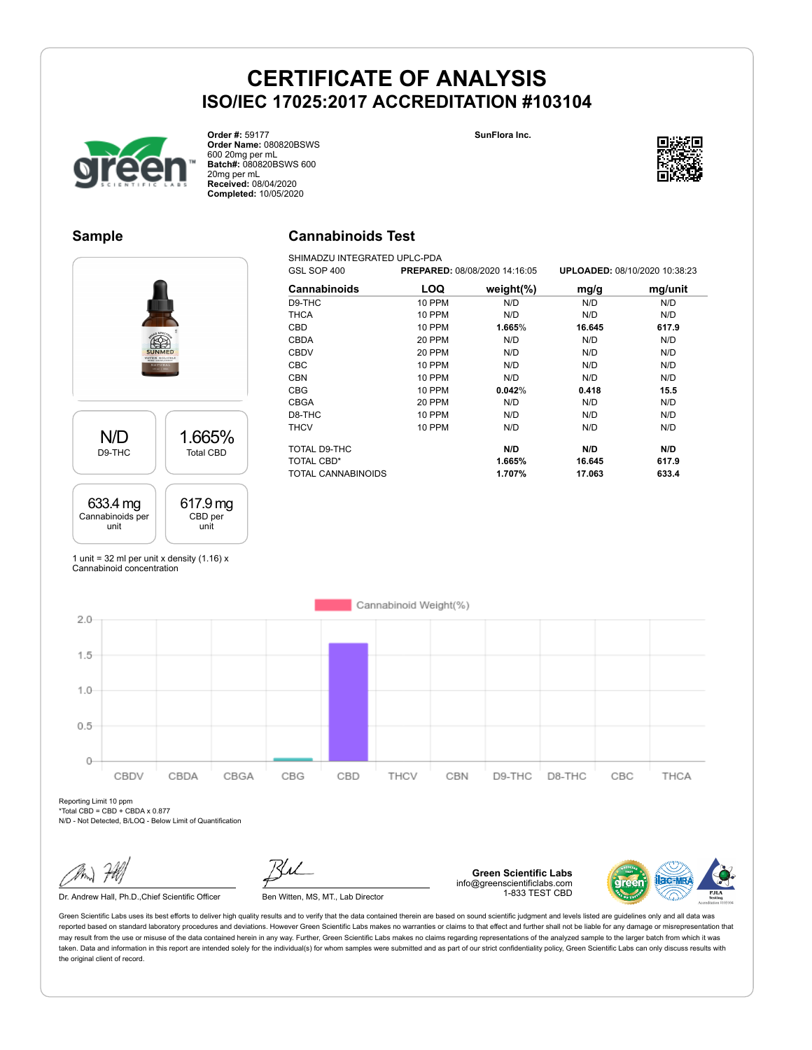**SunFlora Inc.**



**Order #:** 59177 **Order Name:** 080820BSWS 600 20mg per mL **Batch#:** 080820BSWS 600 20mg per mL **Received:** 08/04/2020 **Completed:** 10/05/2020

## **Sample**

N/D D9-THC

633.4 mg Cannabinoids per unit

## **Cannabinoids Test**

SHIMADZU INTEGRATED UPLC-PDA<br>GSL SOP 400 PREPARE GSL SOP 400 **PREPARED:** 08/08/2020 14:16:05 **UPLOADED:** 08/10/2020 10:38:23 **Cannabinoids LOQ weight(%) mg/g mg/unit** D9-THC 10 PPM N/D N/D N/D THCA 10 PPM N/D N/D N/D CBD 10 PPM **1.665**% **16.645 617.9** CBDA 20 PPM N/D N/D N/D CBDV 20 PPM N/D N/D N/D CBC 10 PPM N/D N/D N/D CBN 10 PPM N/D N/D N/D CBG 10 PPM **0.042**% **0.418 15.5** CBGA 20 PPM N/D N/D N/D D8-THC 10 PPM N/D N/D N/D THCV 10 PPM N/D N/D N/D TOTAL D9-THC **N/D N/D N/D** TOTAL CBD\* **1.665% 16.645 617.9** TOTAL CANNABINOIDS **1.707% 17.063 633.4**

1 unit = 32 ml per unit x density  $(1.16)$  x Cannabinoid concentration

1.665% Total CBD

617.9 mg CBD per unit

Cannabinoid Weight(%)  $2.0$  $1.5$  $1.0$  $0.5$  $\Omega$ CBDV CBDA CBGA CBG CBD THCV CBN D9-THC D8-THC CBC THCA

Reporting Limit 10 ppm \*Total CBD = CBD + CBDA x 0.877

N/D - Not Detected, B/LOQ - Below Limit of Quantification

Dr. Andrew Hall, Ph.D., Chief Scientific Officer Ben Witten, MS, MT., Lab Director

**Green Scientific Labs** info@greenscientificlabs.com 1-833 TEST CBD

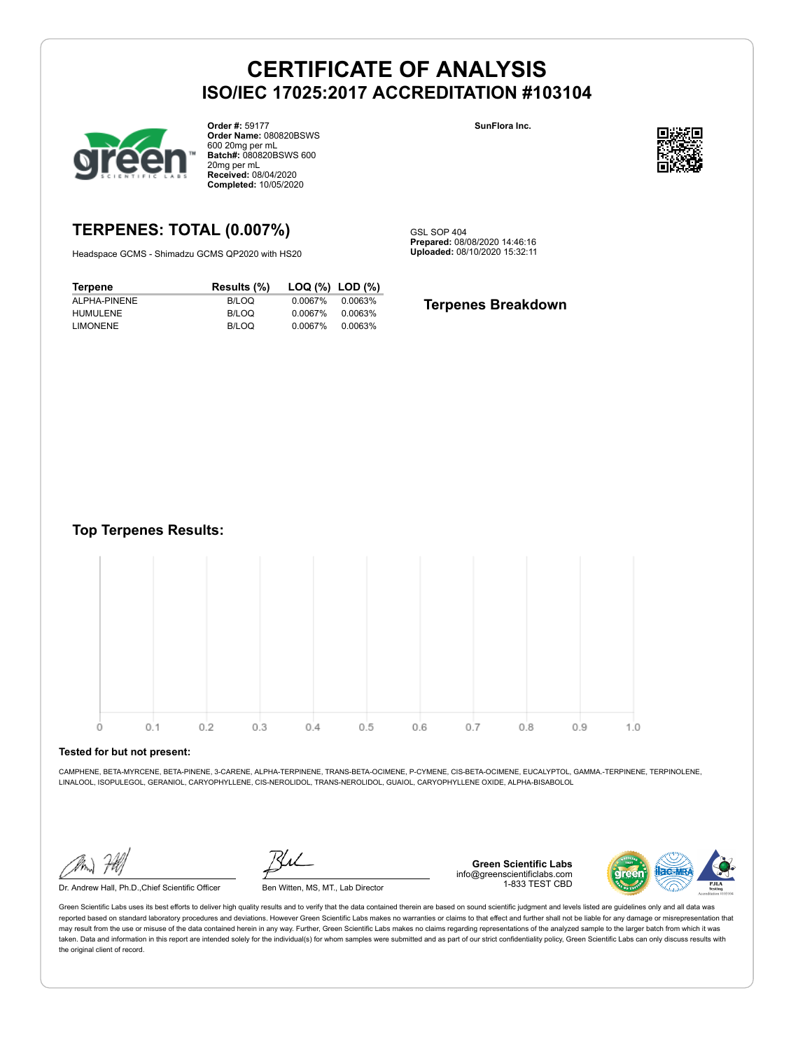

**Order #:** 59177 **Order Name:** 080820BSWS 600 20mg per mL **Batch#:** 080820BSWS 600 20mg per mL **Received:** 08/04/2020 **Completed:** 10/05/2020

#### **SunFlora Inc.**



## **TERPENES: TOTAL (0.007%)**

Headspace GCMS - Shimadzu GCMS QP2020 with HS20

**Terpene Results (%) LOQ (%) LOD (%)** ALPHA-PINENE B/LOQ 0.0067% 0.0063% HUMULENE B/LOQ 0.0067% 0.0063% LIMONENE B/LOQ 0.0067% 0.0063%

GSL SOP 404 **Prepared:** 08/08/2020 14:46:16 **Uploaded:** 08/10/2020 15:32:11

#### **Terpenes Breakdown**

**Top Terpenes Results:**



#### **Tested for but not present:**

CAMPHENE, BETA-MYRCENE, BETA-PINENE, 3-CARENE, ALPHA-TERPINENE, TRANS-BETA-OCIMENE, P-CYMENE, CIS-BETA-OCIMENE, EUCALYPTOL, GAMMA.-TERPINENE, TERPINOLENE, LINALOOL, ISOPULEGOL, GERANIOL, CARYOPHYLLENE, CIS-NEROLIDOL, TRANS-NEROLIDOL, GUAIOL, CARYOPHYLLENE OXIDE, ALPHA-BISABOLOL

Dr. Andrew Hall, Ph.D.,Chief Scientific Officer Ben Witten, MS, MT., Lab Director

**Green Scientific Labs** info@greenscientificlabs.com 1-833 TEST CBD

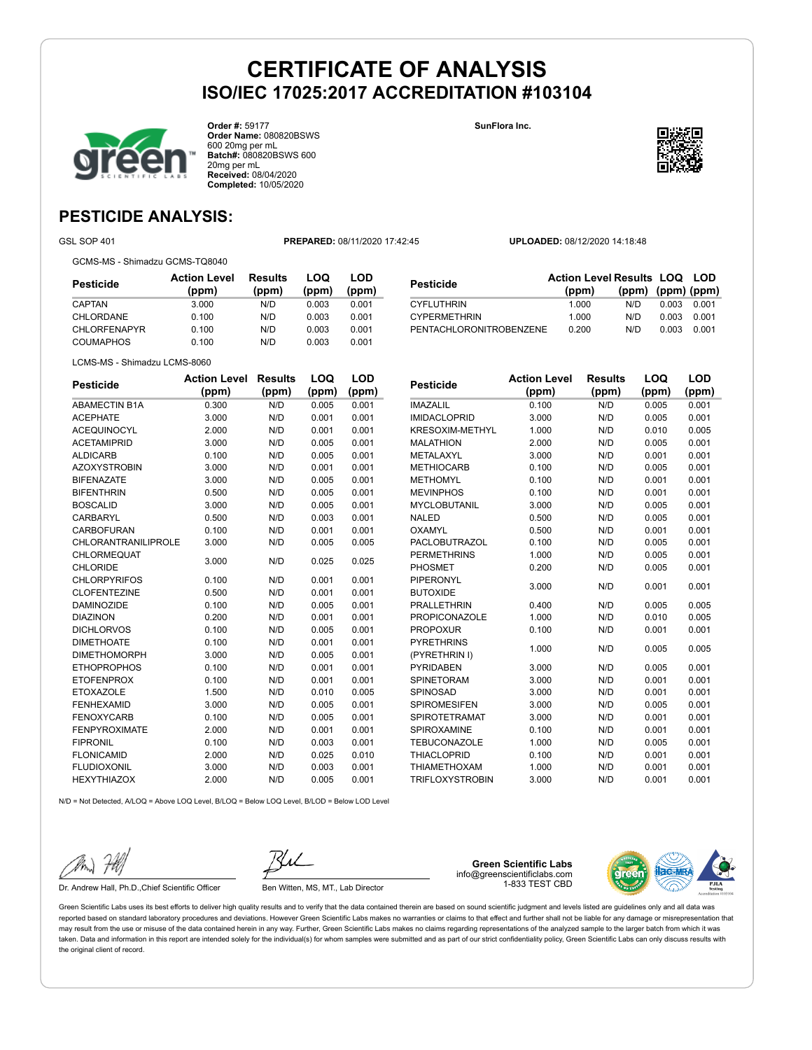**SunFlora Inc.**



**Order #:** 59177 **Order Name:** 080820BSWS 600 20mg per mL **Batch#:** 080820BSWS 600 20mg per mL **Received:** 08/04/2020 **Completed:** 10/05/2020



**LOQ**

**LOD**

## **PESTICIDE ANALYSIS:**

GSL SOP 401 **PREPARED:** 08/11/2020 17:42:45 **UPLOADED:** 08/12/2020 14:18:48

GCMS-MS - Shimadzu GCMS-TQ8040

| <b>Action Level</b><br>(ppm) | <b>Results</b><br>(ppm) | LOQ<br>(ppm) | LOD<br>(ppm) |
|------------------------------|-------------------------|--------------|--------------|
| 3.000                        | N/D                     | 0.003        | 0.001        |
| 0.100                        | N/D                     | 0.003        | 0.001        |
| 0.100                        | N/D                     | 0.003        | 0.001        |
| 0.100                        | N/D                     | 0.003        | 0.001        |
|                              |                         |              |              |

| <b>Pesticide</b>        | <b>Action Level Results LOQ LOD</b> |                         |       |       |
|-------------------------|-------------------------------------|-------------------------|-------|-------|
|                         | (ppm)                               | $(ppm)$ $(ppm)$ $(ppm)$ |       |       |
| <b>CYFLUTHRIN</b>       | 1.000                               | N/D.                    | 0.003 | 0.001 |
| <b>CYPERMETHRIN</b>     | 1.000                               | N/D.                    | 0.003 | 0.001 |
| PENTACHLORONITROBENZENE | 0.200                               | N/D                     | 0.003 | 0.001 |

LCMS-MS - Shimadzu LCMS-8060

| <b>Pesticide</b>           | <b>Action Level</b> | <b>Results</b> | LOQ   | LOD   |
|----------------------------|---------------------|----------------|-------|-------|
|                            | (ppm)               | (ppm)          | (ppm) | (ppm) |
| <b>ABAMECTIN B1A</b>       | 0.300               | N/D            | 0.005 | 0.001 |
| <b>ACEPHATE</b>            | 3.000               | N/D            | 0.001 | 0.001 |
| <b>ACEQUINOCYL</b>         | 2.000               | N/D            | 0.001 | 0.001 |
| <b>ACETAMIPRID</b>         | 3.000               | N/D            | 0.005 | 0.001 |
| <b>ALDICARB</b>            | 0.100               | N/D            | 0.005 | 0.001 |
| <b>AZOXYSTROBIN</b>        | 3.000               | N/D            | 0.001 | 0.001 |
| <b>BIFENAZATE</b>          | 3.000               | N/D            | 0.005 | 0.001 |
| <b>BIFENTHRIN</b>          | 0.500               | N/D            | 0.005 | 0.001 |
| <b>BOSCALID</b>            | 3.000               | N/D            | 0.005 | 0.001 |
| CARBARYL                   | 0.500               | N/D            | 0.003 | 0.001 |
| CARBOFURAN                 | 0.100               | N/D            | 0.001 | 0.001 |
| <b>CHLORANTRANILIPROLE</b> | 3.000               | N/D            | 0.005 | 0.005 |
| CHLORMEQUAT                | 3.000               | N/D            | 0.025 | 0.025 |
| <b>CHLORIDE</b>            |                     |                |       |       |
| <b>CHLORPYRIFOS</b>        | 0.100               | N/D            | 0.001 | 0.001 |
| <b>CLOFENTEZINE</b>        | 0.500               | N/D            | 0.001 | 0.001 |
| <b>DAMINOZIDE</b>          | 0.100               | N/D            | 0.005 | 0.001 |
| <b>DIAZINON</b>            | 0.200               | N/D            | 0.001 | 0.001 |
| <b>DICHLORVOS</b>          | 0.100               | N/D            | 0.005 | 0.001 |
| <b>DIMETHOATE</b>          | 0.100               | N/D            | 0.001 | 0.001 |
| <b>DIMETHOMORPH</b>        | 3.000               | N/D            | 0.005 | 0.001 |
| <b>ETHOPROPHOS</b>         | 0.100               | N/D            | 0.001 | 0.001 |
| <b>ETOFENPROX</b>          | 0.100               | N/D            | 0.001 | 0.001 |
| <b>ETOXAZOLE</b>           | 1.500               | N/D            | 0.010 | 0.005 |
| <b>FENHEXAMID</b>          | 3.000               | N/D            | 0.005 | 0.001 |
| <b>FENOXYCARB</b>          | 0.100               | N/D            | 0.005 | 0.001 |
| <b>FENPYROXIMATE</b>       | 2.000               | N/D            | 0.001 | 0.001 |
| <b>FIPRONIL</b>            | 0.100               | N/D            | 0.003 | 0.001 |
| <b>FLONICAMID</b>          | 2.000               | N/D            | 0.025 | 0.010 |
| <b>FLUDIOXONIL</b>         | 3.000               | N/D            | 0.003 | 0.001 |
| <b>HEXYTHIAZOX</b>         | 2.000               | N/D            | 0.005 | 0.001 |

| <b>Pesticide</b>       | <b>Action Level</b> | <b>Results</b> | LOQ   | LOD   |
|------------------------|---------------------|----------------|-------|-------|
|                        | (ppm)               | (ppm)          | (ppm) | (ppm) |
| <b>IMAZALIL</b>        | 0.100               | N/D            | 0.005 | 0.001 |
| <b>IMIDACLOPRID</b>    | 3.000               | N/D            | 0.005 | 0.001 |
| KRESOXIM-METHYL        | 1.000               | N/D            | 0.010 | 0.005 |
| <b>MALATHION</b>       | 2.000               | N/D            | 0.005 | 0.001 |
| <b>METALAXYL</b>       | 3.000               | N/D            | 0.001 | 0.001 |
| <b>METHIOCARB</b>      | 0.100               | N/D            | 0.005 | 0.001 |
| <b>METHOMYL</b>        | 0.100               | N/D            | 0.001 | 0.001 |
| <b>MEVINPHOS</b>       | 0.100               | N/D            | 0.001 | 0.001 |
| <b>MYCLOBUTANIL</b>    | 3.000               | N/D            | 0.005 | 0.001 |
| <b>NALED</b>           | 0.500               | N/D            | 0.005 | 0.001 |
| OXAMYL                 | 0.500               | N/D            | 0.001 | 0.001 |
| PACLOBUTRAZOL          | 0.100               | N/D            | 0.005 | 0.001 |
| <b>PERMETHRINS</b>     | 1.000               | N/D            | 0.005 | 0.001 |
| <b>PHOSMET</b>         | 0.200               | N/D            | 0.005 | 0.001 |
| <b>PIPERONYL</b>       | 3.000               | N/D            | 0.001 | 0.001 |
| <b>BUTOXIDE</b>        |                     |                |       |       |
| <b>PRALLETHRIN</b>     | 0.400               | N/D            | 0.005 | 0.005 |
| <b>PROPICONAZOLE</b>   | 1.000               | N/D            | 0.010 | 0.005 |
| <b>PROPOXUR</b>        | 0.100               | N/D            | 0.001 | 0.001 |
| <b>PYRETHRINS</b>      | 1.000               | N/D            | 0.005 | 0.005 |
| (PYRETHRIN I)          |                     |                |       |       |
| <b>PYRIDABEN</b>       | 3.000               | N/D            | 0.005 | 0.001 |
| <b>SPINETORAM</b>      | 3.000               | N/D            | 0.001 | 0.001 |
| SPINOSAD               | 3.000               | N/D            | 0.001 | 0.001 |
| <b>SPIROMESIFEN</b>    | 3.000               | N/D            | 0.005 | 0.001 |
| <b>SPIROTETRAMAT</b>   | 3.000               | N/D            | 0.001 | 0.001 |
| SPIROXAMINE            | 0.100               | N/D            | 0.001 | 0.001 |
| <b>TEBUCONAZOLE</b>    | 1.000               | N/D            | 0.005 | 0.001 |
| <b>THIACLOPRID</b>     | 0.100               | N/D            | 0.001 | 0.001 |
| <b>THIAMETHOXAM</b>    | 1.000               | N/D            | 0.001 | 0.001 |
| <b>TRIFLOXYSTROBIN</b> | 3.000               | N/D            | 0.001 | 0.001 |

N/D = Not Detected, A/LOQ = Above LOQ Level, B/LOQ = Below LOQ Level, B/LOD = Below LOD Level

Dr. Andrew Hall, Ph.D., Chief Scientific Officer Ben Witten, MS, MT., Lab Director

**Green Scientific Labs** info@greenscientificlabs.com 1-833 TEST CBD

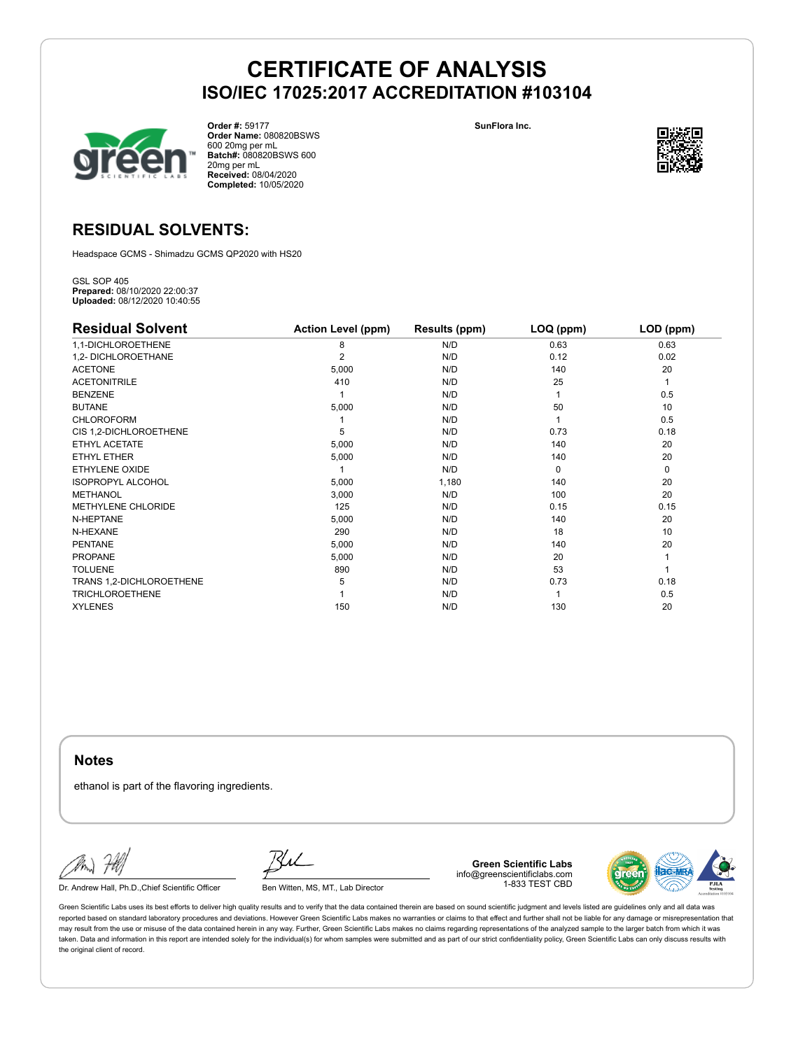



**Order #:** 59177 **Order Name:** 080820BSWS 600 20mg per mL **Batch#:** 080820BSWS 600 20mg per mL **Received:** 08/04/2020 **Completed:** 10/05/2020



## **RESIDUAL SOLVENTS:**

Headspace GCMS - Shimadzu GCMS QP2020 with HS20

GSL SOP 405 **Prepared:** 08/10/2020 22:00:37 **Uploaded:** 08/12/2020 10:40:55

| <b>Residual Solvent</b>   | <b>Action Level (ppm)</b> | Results (ppm) | LOQ (ppm) | LOD (ppm) |
|---------------------------|---------------------------|---------------|-----------|-----------|
| 1,1-DICHLOROETHENE        | 8                         | N/D           | 0.63      | 0.63      |
| 1,2- DICHLOROETHANE       | 2                         | N/D           | 0.12      | 0.02      |
| <b>ACETONE</b>            | 5,000                     | N/D           | 140       | 20        |
| <b>ACETONITRILE</b>       | 410                       | N/D           | 25        | 1         |
| <b>BENZENE</b>            |                           | N/D           |           | 0.5       |
| <b>BUTANE</b>             | 5,000                     | N/D           | 50        | 10        |
| <b>CHLOROFORM</b>         |                           | N/D           |           | 0.5       |
| CIS 1,2-DICHLOROETHENE    | 5                         | N/D           | 0.73      | 0.18      |
| ETHYL ACETATE             | 5,000                     | N/D           | 140       | 20        |
| ETHYL ETHER               | 5,000                     | N/D           | 140       | 20        |
| ETHYLENE OXIDE            |                           | N/D           | $\Omega$  | 0         |
| <b>ISOPROPYL ALCOHOL</b>  | 5,000                     | 1,180         | 140       | 20        |
| <b>METHANOL</b>           | 3,000                     | N/D           | 100       | 20        |
| <b>METHYLENE CHLORIDE</b> | 125                       | N/D           | 0.15      | 0.15      |
| N-HEPTANE                 | 5,000                     | N/D           | 140       | 20        |
| N-HEXANE                  | 290                       | N/D           | 18        | 10        |
| <b>PENTANE</b>            | 5,000                     | N/D           | 140       | 20        |
| PROPANE                   | 5,000                     | N/D           | 20        |           |
| <b>TOLUENE</b>            | 890                       | N/D           | 53        |           |
| TRANS 1,2-DICHLOROETHENE  | 5                         | N/D           | 0.73      | 0.18      |
| <b>TRICHLOROETHENE</b>    |                           | N/D           |           | 0.5       |
| <b>XYLENES</b>            | 150                       | N/D           | 130       | 20        |

**Notes**

ethanol is part of the flavoring ingredients.

Dr. Andrew Hall, Ph.D., Chief Scientific Officer Ben Witten, MS, MT., Lab Director

**Green Scientific Labs** info@greenscientificlabs.com 1-833 TEST CBD

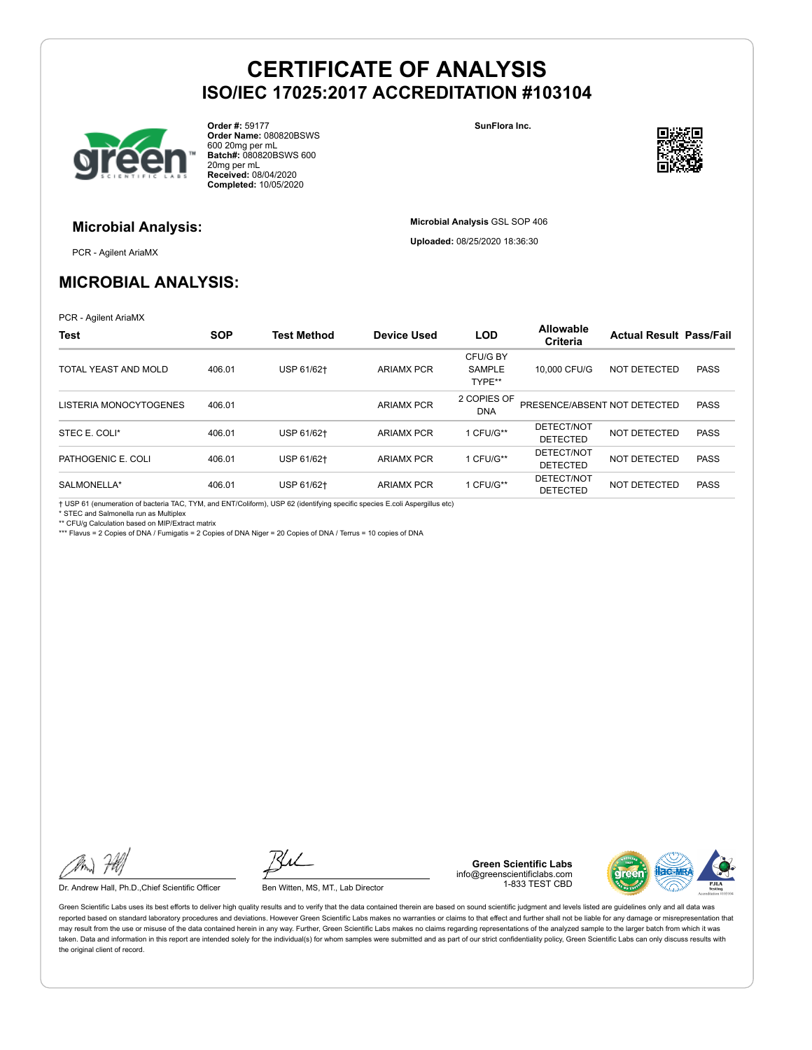

**Order #:** 59177 **Order Name:** 080820BSWS 600 20mg per mL **Batch#:** 080820BSWS 600 20mg per mL **Received:** 08/04/2020 **Completed:** 10/05/2020

**SunFlora Inc.**

**Microbial Analysis** GSL SOP 406 **Uploaded:** 08/25/2020 18:36:30



### **Microbial Analysis:**

PCR - Agilent AriaMX

## **MICROBIAL ANALYSIS:**

PCR - Agilent AriaMX

| <b>Test</b>            | <b>SOP</b> | <b>Test Method</b> | Device Used       | <b>LOD</b>                          | <b>Allowable</b><br>Criteria  | <b>Actual Result Pass/Fail</b> |             |
|------------------------|------------|--------------------|-------------------|-------------------------------------|-------------------------------|--------------------------------|-------------|
| TOTAL YEAST AND MOLD   | 406.01     | USP 61/62+         | <b>ARIAMX PCR</b> | CFU/G BY<br><b>SAMPLE</b><br>TYPE** | 10,000 CFU/G                  | NOT DETECTED                   | <b>PASS</b> |
| LISTERIA MONOCYTOGENES | 406.01     |                    | <b>ARIAMX PCR</b> | 2 COPIES OF<br><b>DNA</b>           | PRESENCE/ABSENT NOT DETECTED  |                                | <b>PASS</b> |
| STEC E. COLI*          | 406.01     | USP 61/62+         | <b>ARIAMX PCR</b> | 1 CFU/G**                           | DETECT/NOT<br><b>DETECTED</b> | NOT DETECTED                   | <b>PASS</b> |
| PATHOGENIC E. COLI     | 406.01     | USP 61/62+         | <b>ARIAMX PCR</b> | 1 CFU/G**                           | DETECT/NOT<br><b>DETECTED</b> | NOT DETECTED                   | <b>PASS</b> |
| SALMONELLA*            | 406.01     | USP 61/62+         | <b>ARIAMX PCR</b> | 1 CFU/G**                           | DETECT/NOT<br><b>DETECTED</b> | NOT DETECTED                   | <b>PASS</b> |

† USP 61 (enumeration of bacteria TAC, TYM, and ENT/Coliform), USP 62 (identifying specific species E.coli Aspergillus etc) \* STEC and Salmonella run as Multiplex

\*\* CFU/g Calculation based on MIP/Extract matrix

\*\*\* Flavus = 2 Copies of DNA / Fumigatis = 2 Copies of DNA Niger = 20 Copies of DNA / Terrus = 10 copies of DNA

Dr. Andrew Hall, Ph.D., Chief Scientific Officer Ben Witten, MS, MT., Lab Director

**Green Scientific Labs** info@greenscientificlabs.com 1-833 TEST CBD